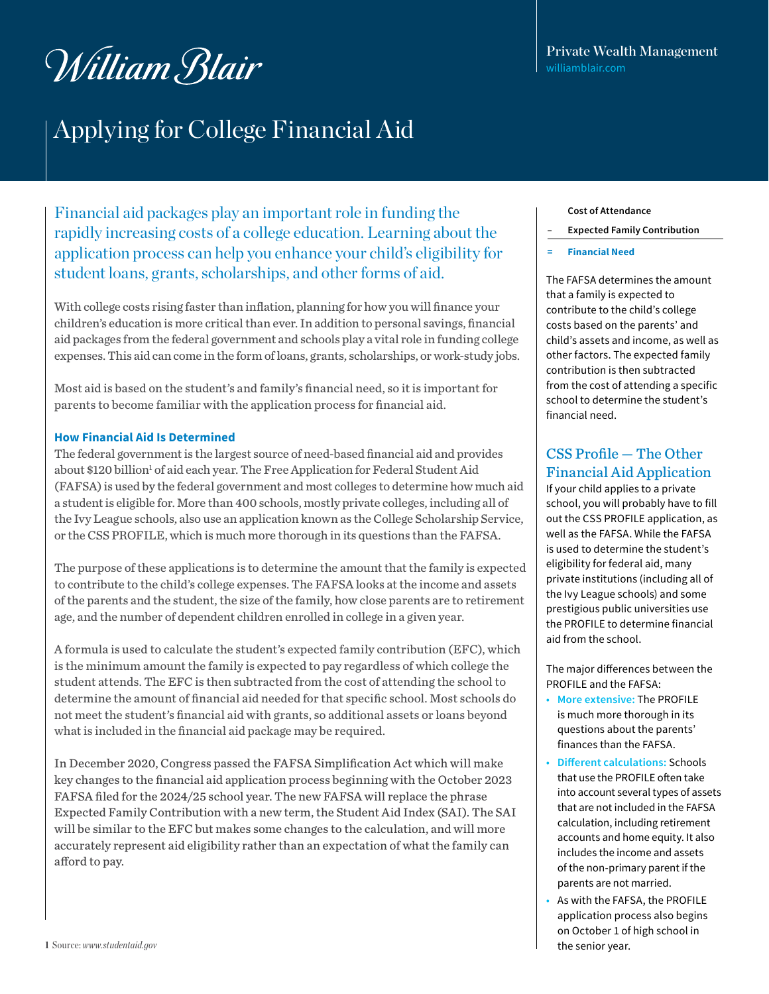# William Blair

### Applying for College Financial Aid

Financial aid packages play an important role in funding the rapidly increasing costs of a college education. Learning about the application process can help you enhance your child's eligibility for student loans, grants, scholarships, and other forms of aid.

With college costs rising faster than inflation, planning for how you will finance your children's education is more critical than ever. In addition to personal savings, financial aid packages from the federal government and schools play a vital role in funding college expenses. This aid can come in the form of loans, grants, scholarships, or work-study jobs.

Most aid is based on the student's and family's financial need, so it is important for parents to become familiar with the application process for financial aid.

### **How Financial Aid Is Determined**

The federal government is the largest source of need-based financial aid and provides about \$120 billion<sup>1</sup> of aid each year. The Free Application for Federal Student Aid (FAFSA) is used by the federal government and most colleges to determine how much aid a student is eligible for. More than 400 schools, mostly private colleges, including all of the Ivy League schools, also use an application known as the College Scholarship Service, or the CSS PROFILE, which is much more thorough in its questions than the FAFSA.

The purpose of these applications is to determine the amount that the family is expected to contribute to the child's college expenses. The FAFSA looks at the income and assets of the parents and the student, the size of the family, how close parents are to retirement age, and the number of dependent children enrolled in college in a given year.

A formula is used to calculate the student's expected family contribution (EFC), which is the minimum amount the family is expected to pay regardless of which college the student attends. The EFC is then subtracted from the cost of attending the school to determine the amount of financial aid needed for that specific school. Most schools do not meet the student's financial aid with grants, so additional assets or loans beyond what is included in the financial aid package may be required.

In December 2020, Congress passed the FAFSA Simplification Act which will make key changes to the financial aid application process beginning with the October 2023 FAFSA filed for the 2024/25 school year. The new FAFSA will replace the phrase Expected Family Contribution with a new term, the Student Aid Index (SAI). The SAI will be similar to the EFC but makes some changes to the calculation, and will more accurately represent aid eligibility rather than an expectation of what the family can afford to pay.

#### **Cost of Attendance**

- **– Expected Family Contribution**
- **= Financial Need**

The FAFSA determines the amount that a family is expected to contribute to the child's college costs based on the parents' and child's assets and income, as well as other factors. The expected family contribution is then subtracted from the cost of attending a specific school to determine the student's financial need.

### CSS Profile — The Other Financial Aid Application

If your child applies to a private school, you will probably have to fill out the CSS PROFILE application, as well as the FAFSA. While the FAFSA is used to determine the student's eligibility for federal aid, many private institutions (including all of the Ivy League schools) and some prestigious public universities use the PROFILE to determine financial aid from the school.

The major differences between the PROFILE and the FAFSA:

- **More extensive:** The PROFILE is much more thorough in its questions about the parents' finances than the FAFSA.
- **Different calculations:** Schools that use the PROFILE often take into account several types of assets that are not included in the FAFSA calculation, including retirement accounts and home equity. It also includes the income and assets of the non-primary parent if the parents are not married.
- As with the FAFSA, the PROFILE application process also begins on October 1 of high school in the senior year.